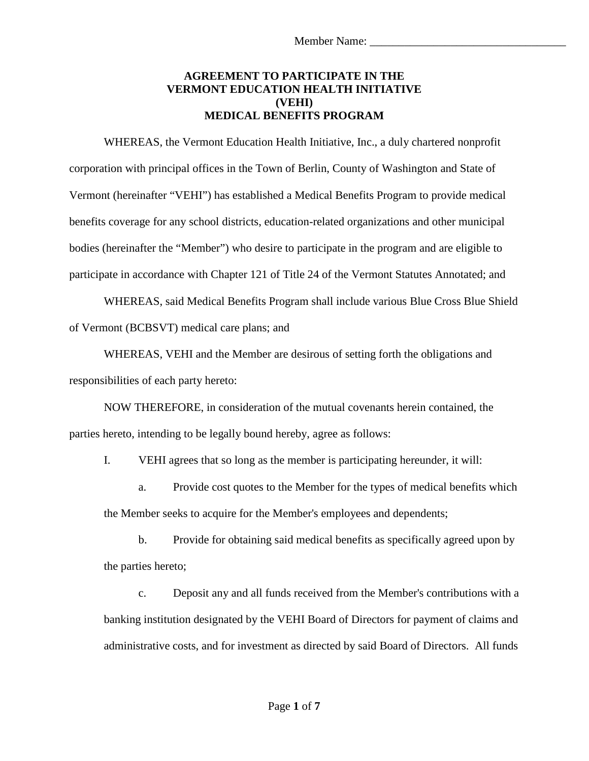## **AGREEMENT TO PARTICIPATE IN THE VERMONT EDUCATION HEALTH INITIATIVE (VEHI) MEDICAL BENEFITS PROGRAM**

WHEREAS, the Vermont Education Health Initiative, Inc., a duly chartered nonprofit corporation with principal offices in the Town of Berlin, County of Washington and State of Vermont (hereinafter "VEHI") has established a Medical Benefits Program to provide medical benefits coverage for any school districts, education-related organizations and other municipal bodies (hereinafter the "Member") who desire to participate in the program and are eligible to participate in accordance with Chapter 121 of Title 24 of the Vermont Statutes Annotated; and

WHEREAS, said Medical Benefits Program shall include various Blue Cross Blue Shield of Vermont (BCBSVT) medical care plans; and

WHEREAS, VEHI and the Member are desirous of setting forth the obligations and responsibilities of each party hereto:

NOW THEREFORE, in consideration of the mutual covenants herein contained, the parties hereto, intending to be legally bound hereby, agree as follows:

I. VEHI agrees that so long as the member is participating hereunder, it will:

a. Provide cost quotes to the Member for the types of medical benefits which the Member seeks to acquire for the Member's employees and dependents;

b. Provide for obtaining said medical benefits as specifically agreed upon by the parties hereto;

c. Deposit any and all funds received from the Member's contributions with a banking institution designated by the VEHI Board of Directors for payment of claims and administrative costs, and for investment as directed by said Board of Directors. All funds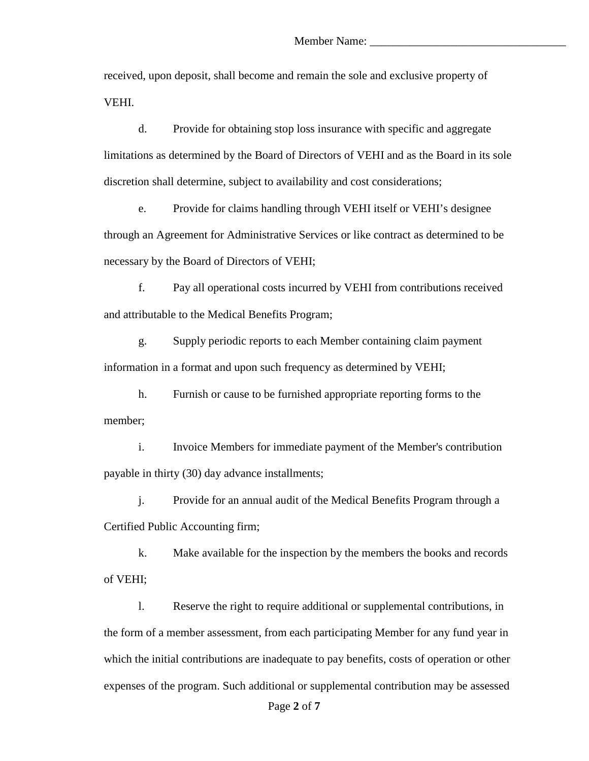received, upon deposit, shall become and remain the sole and exclusive property of VEHI.

d. Provide for obtaining stop loss insurance with specific and aggregate limitations as determined by the Board of Directors of VEHI and as the Board in its sole discretion shall determine, subject to availability and cost considerations;

e. Provide for claims handling through VEHI itself or VEHI's designee through an Agreement for Administrative Services or like contract as determined to be necessary by the Board of Directors of VEHI;

f. Pay all operational costs incurred by VEHI from contributions received and attributable to the Medical Benefits Program;

g. Supply periodic reports to each Member containing claim payment information in a format and upon such frequency as determined by VEHI;

h. Furnish or cause to be furnished appropriate reporting forms to the member;

i. Invoice Members for immediate payment of the Member's contribution payable in thirty (30) day advance installments;

j. Provide for an annual audit of the Medical Benefits Program through a Certified Public Accounting firm;

k. Make available for the inspection by the members the books and records of VEHI;

l. Reserve the right to require additional or supplemental contributions, in the form of a member assessment, from each participating Member for any fund year in which the initial contributions are inadequate to pay benefits, costs of operation or other expenses of the program. Such additional or supplemental contribution may be assessed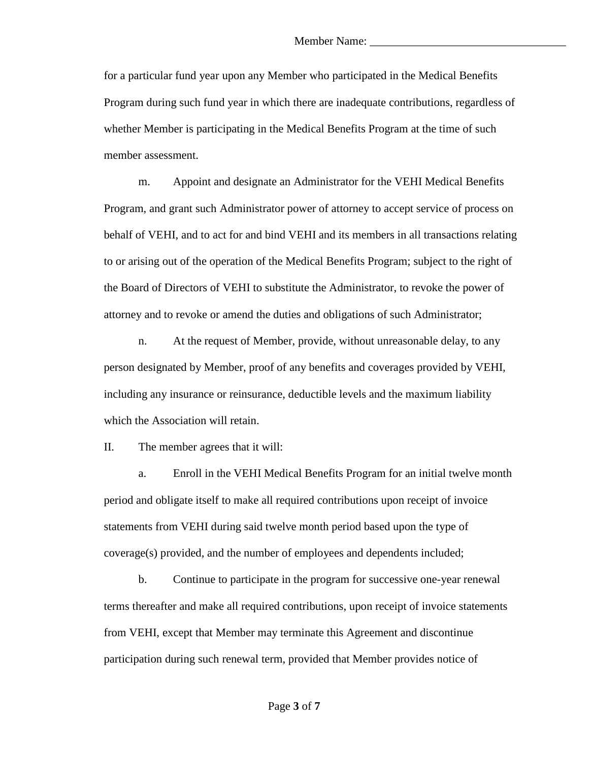for a particular fund year upon any Member who participated in the Medical Benefits Program during such fund year in which there are inadequate contributions, regardless of whether Member is participating in the Medical Benefits Program at the time of such member assessment.

m. Appoint and designate an Administrator for the VEHI Medical Benefits Program, and grant such Administrator power of attorney to accept service of process on behalf of VEHI, and to act for and bind VEHI and its members in all transactions relating to or arising out of the operation of the Medical Benefits Program; subject to the right of the Board of Directors of VEHI to substitute the Administrator, to revoke the power of attorney and to revoke or amend the duties and obligations of such Administrator;

n. At the request of Member, provide, without unreasonable delay, to any person designated by Member, proof of any benefits and coverages provided by VEHI, including any insurance or reinsurance, deductible levels and the maximum liability which the Association will retain.

II. The member agrees that it will:

a. Enroll in the VEHI Medical Benefits Program for an initial twelve month period and obligate itself to make all required contributions upon receipt of invoice statements from VEHI during said twelve month period based upon the type of coverage(s) provided, and the number of employees and dependents included;

b. Continue to participate in the program for successive one-year renewal terms thereafter and make all required contributions, upon receipt of invoice statements from VEHI, except that Member may terminate this Agreement and discontinue participation during such renewal term, provided that Member provides notice of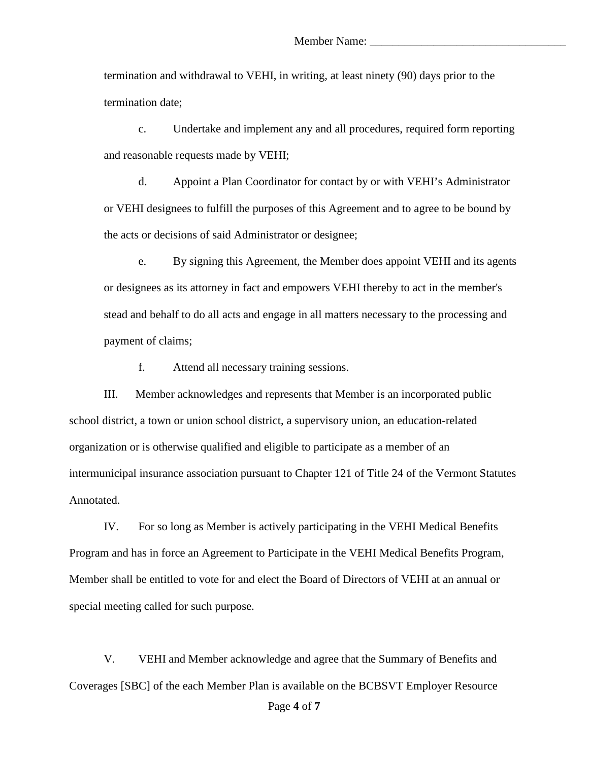termination and withdrawal to VEHI, in writing, at least ninety (90) days prior to the termination date;

c. Undertake and implement any and all procedures, required form reporting and reasonable requests made by VEHI;

d. Appoint a Plan Coordinator for contact by or with VEHI's Administrator or VEHI designees to fulfill the purposes of this Agreement and to agree to be bound by the acts or decisions of said Administrator or designee;

e. By signing this Agreement, the Member does appoint VEHI and its agents or designees as its attorney in fact and empowers VEHI thereby to act in the member's stead and behalf to do all acts and engage in all matters necessary to the processing and payment of claims;

f. Attend all necessary training sessions.

III. Member acknowledges and represents that Member is an incorporated public school district, a town or union school district, a supervisory union, an education-related organization or is otherwise qualified and eligible to participate as a member of an intermunicipal insurance association pursuant to Chapter 121 of Title 24 of the Vermont Statutes Annotated.

IV. For so long as Member is actively participating in the VEHI Medical Benefits Program and has in force an Agreement to Participate in the VEHI Medical Benefits Program, Member shall be entitled to vote for and elect the Board of Directors of VEHI at an annual or special meeting called for such purpose.

V. VEHI and Member acknowledge and agree that the Summary of Benefits and Coverages [SBC] of the each Member Plan is available on the BCBSVT Employer Resource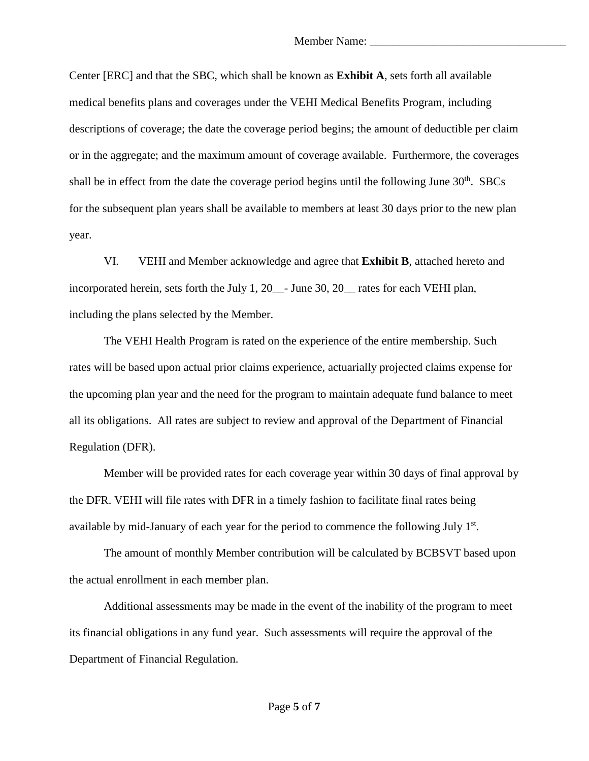Center [ERC] and that the SBC, which shall be known as **Exhibit A**, sets forth all available medical benefits plans and coverages under the VEHI Medical Benefits Program, including descriptions of coverage; the date the coverage period begins; the amount of deductible per claim or in the aggregate; and the maximum amount of coverage available. Furthermore, the coverages shall be in effect from the date the coverage period begins until the following June  $30<sup>th</sup>$ . SBCs for the subsequent plan years shall be available to members at least 30 days prior to the new plan year.

VI. VEHI and Member acknowledge and agree that **Exhibit B**, attached hereto and incorporated herein, sets forth the July 1, 20\_\_- June 30, 20\_\_ rates for each VEHI plan, including the plans selected by the Member.

The VEHI Health Program is rated on the experience of the entire membership. Such rates will be based upon actual prior claims experience, actuarially projected claims expense for the upcoming plan year and the need for the program to maintain adequate fund balance to meet all its obligations. All rates are subject to review and approval of the Department of Financial Regulation (DFR).

Member will be provided rates for each coverage year within 30 days of final approval by the DFR. VEHI will file rates with DFR in a timely fashion to facilitate final rates being available by mid-January of each year for the period to commence the following July 1st.

The amount of monthly Member contribution will be calculated by BCBSVT based upon the actual enrollment in each member plan.

Additional assessments may be made in the event of the inability of the program to meet its financial obligations in any fund year. Such assessments will require the approval of the Department of Financial Regulation.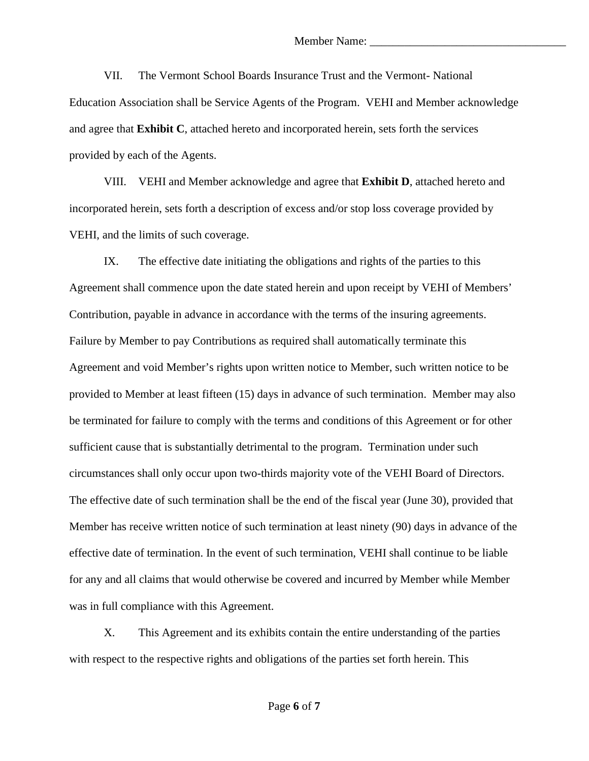VII. The Vermont School Boards Insurance Trust and the Vermont- National Education Association shall be Service Agents of the Program. VEHI and Member acknowledge and agree that **Exhibit C**, attached hereto and incorporated herein, sets forth the services provided by each of the Agents.

VIII. VEHI and Member acknowledge and agree that **Exhibit D**, attached hereto and incorporated herein, sets forth a description of excess and/or stop loss coverage provided by VEHI, and the limits of such coverage.

IX. The effective date initiating the obligations and rights of the parties to this Agreement shall commence upon the date stated herein and upon receipt by VEHI of Members' Contribution, payable in advance in accordance with the terms of the insuring agreements. Failure by Member to pay Contributions as required shall automatically terminate this Agreement and void Member's rights upon written notice to Member, such written notice to be provided to Member at least fifteen (15) days in advance of such termination. Member may also be terminated for failure to comply with the terms and conditions of this Agreement or for other sufficient cause that is substantially detrimental to the program. Termination under such circumstances shall only occur upon two-thirds majority vote of the VEHI Board of Directors. The effective date of such termination shall be the end of the fiscal year (June 30), provided that Member has receive written notice of such termination at least ninety (90) days in advance of the effective date of termination. In the event of such termination, VEHI shall continue to be liable for any and all claims that would otherwise be covered and incurred by Member while Member was in full compliance with this Agreement.

X. This Agreement and its exhibits contain the entire understanding of the parties with respect to the respective rights and obligations of the parties set forth herein. This